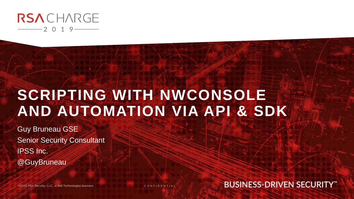

## **SCRIPTING WITH NWCONSOLE AND AUTOMATION VIA API & SDK**

Guy Bruneau GSE Senior Security Consultant IPSS Inc. @GuyBruneau

©2019 RSA Security, LLC., a Dell Technologies business

C O N F I D E N T I A L

**BUSINESS-DRIVEN SECURITY"**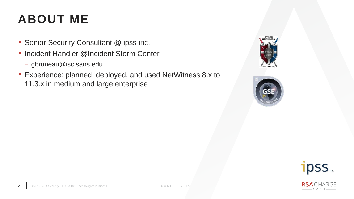#### **ABOUT ME**

- Senior Security Consultant @ ipss inc.
- Incident Handler @Incident Storm Center
	- − gbruneau@isc.sans.edu
- Experience: planned, deployed, and used NetWitness 8.x to 11.3.x in medium and large enterprise







-2019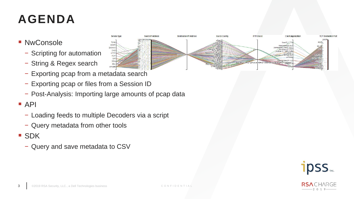#### **AGENDA**

- NwConsole
	- − Scripting for automation
	- − String & Regex search
	- − Exporting pcap from a metadata search
	- − Exporting pcap or files from a Session ID
	- − Post-Analysis: Importing large amounts of pcap data

#### $\blacksquare$  API

- − Loading feeds to multiple Decoders via a script
- − Query metadata from other tools
- SDK
	- − Query and save metadata to CSV



 $-2019$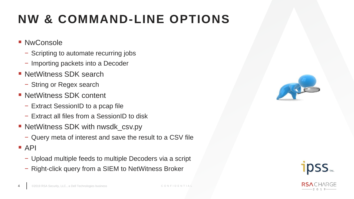#### **NW & COMMAND-LINE OPTIONS**

- NwConsole
	- − Scripting to automate recurring jobs
	- − Importing packets into a Decoder
- NetWitness SDK search
	- − String or Regex search
- NetWitness SDK content
	- − Extract SessionID to a pcap file
	- − Extract all files from a SessionID to disk
- NetWitness SDK with nwsdk\_csv.py
	- − Query meta of interest and save the result to a CSV file
- $\blacksquare$  API
	- − Upload multiple feeds to multiple Decoders via a script
	- − Right-click query from a SIEM to NetWitness Broker



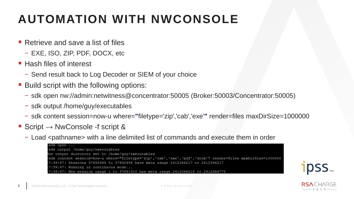## **AUTOMATION WITH NWCONSOLE**

- Retrieve and save a list of files
	- − EXE, ISO, ZIP, PDF, DOCX, etc
- Hash files of interest
	- − Send result back to Log Decoder or SIEM of your choice
- Build script with the following options:
	- − sdk open nw://admin:netwitness@concentrator:50005 (Broker:50003/Concentrator:50005)
	- − sdk output /home/guy/executables
	- − sdk content session=now-u where=**"**filetype='zip','cab','exe'**"** render=files maxDirSize=1000000
- Script  $\rightarrow$  NwConsole -f script &
	- − Load <pathname> with a line delimited list of commands and execute them in order

| sdk open                                                                                                   |
|------------------------------------------------------------------------------------------------------------|
| sdk output /home/quy/executables>                                                                          |
| Jew output directory set to /home/quy/executables                                                          |
| sdk content session=now-u where="filetype='zip','cab','exe','pdf','docx'" render=files maxDirSize=1000000> |
| 17:39:47: Sessions 37692494 to 37692494 have meta range 2412346217 to 2412346217                           |
| 17:39:47: Running in continuous mode                                                                       |
| 17:39:47: New session range 1 to 37691310 has meta range 2412346218 to 2412266778                          |

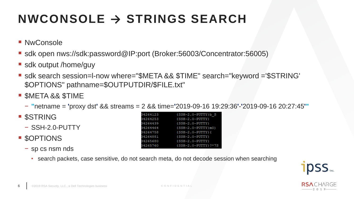## **NWCONSOLE → STRINGS SEARCH**

- NwConsole
- sdk open nws://sdk:password@IP:port (Broker:56003/Concentrator:56005)
- **Sdk output /home/guy**
- sdk search session=I-now where="\$META && \$TIME" search="keyword ='\$STRING' \$OPTIONS" pathname=\$OUTPUTDIR/\$FILE.txt"
- **SMETA && \$TIME** 
	- − **"**netname = **'**proxy dst**'** && streams = 2 && time=**'**2019-09-16 19:29:36**'**-**'**2019-09-16 20:27:45**'"**

 $(SSH-2.0-PUTTY) b S$ 

 $(SSH-2.0-PUTTY}m0)$ 

{SSH-2.0-PUTTY}?\*7S

 ${SSH-2.0-PUTTY}$ 

 ${SSH-2.0-PUTTY}$ 

 $(SSH-2.0-PUTTY)$ 

 ${SSH-2.0-PUTTY}$ 

 $SSH-2.0-PUTTY$ 

- **SSTRING** 
	- − SSH-2.0-PUTTY
- \$OPTIONS
	- − sp cs nsm nds
		- search packets, case sensitive, do not search meta, do not decode session when searching

34264123

34264253

34264439

4264464

34264758

34264881

4265680

4265760

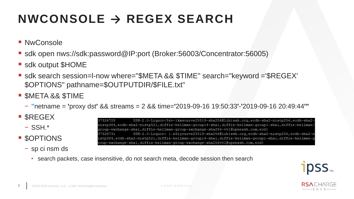#### **NWCONSOLE → REGEX SEARCH**

- NwConsole
- sdk open nws://sdk:password@IP:port (Broker:56003/Concentrator:56005)
- sdk output \$HOME
- sdk search session=I-now where="\$META && \$TIME" search="keyword ='\$REGEX' \$OPTIONS" pathname=\$OUTPUTDIR/\$FILE.txt"
- **SMETA && \$TIME** 
	- − **"**netname = **'**proxy dst**'** && streams = 2 && time=**'**2019-09-16 19:50:33**'**-**'**2019-09-16 20:49:44**'"**
- \$REGEX
	- − SSH.\*
- \$OPTIONS
	- − sp ci nsm ds

SSH-2.0-Liquor<5&v-}kxscurve25519-sha256@lib{ssh.org,ecdh-sha2-nistp256,ecdh-sha2-7326728 nistp384,ecdh-sha2-nistp521,diffie-hellman-groupl4-shal,diffie-hellman-groupl-shal,diffie-hellmangroup-exchange-shal,diffie-hellman-group-exchange-sha256-v01@openssh.com,ecd} SSH-2.0-Liquor< |.n9lycurve25519-sha256@lib{ssh.org,ecdh-sha2-nistp256,ecdh-sha2-n 37326731 istp384,ecdh-sha2-nistp521,diffie-hellman-groupl4-shal,diffie-hellman-groupl-shal,diffie-hellman-g roup-exchange-shal,diffie-hellman-group-exchange-sha256v01@openssh.com,ecd}

• search packets, case insensitive, do not search meta, decode session then search



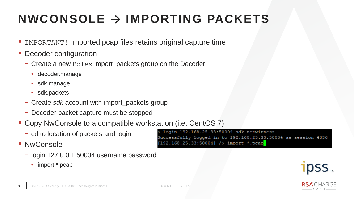## **NWCONSOLE → IMPORTING PACKETS**

- IMPORTANT! Imported pcap files retains original capture time
- **Decoder configuration** 
	- − Create a new Roles import\_packets group on the Decoder
		- decoder.manage
		- sdk.manage
		- sdk.packets
	- − Create *sdk* account with import\_packets group
	- − Decoder packet capture must be stopped
- Copy NwConsole to a compatible workstation (i.e. CentOS 7)
	- − cd to location of packets and login
- NwConsole
	- − login 127.0.0.1:50004 username password
		- import \*.pcap

login 192.168.25.33:50004 sdk netwitness Successfully logged in to 192.168.25.33:50004 as session 4336  $[192.168.25.33:50004]$  /> import \*.pcap

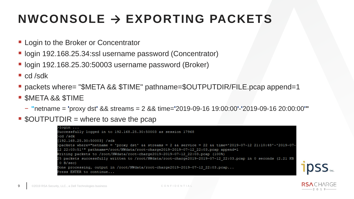#### **NWCONSOLE → EXPORTING PACKETS**

- **Example 2 Login to the Broker or Concentrator**
- login 192.168.25.34:ssl username password (Concentrator)
- login 192.168.25.30:50003 username password (Broker)
- $\blacksquare$  cd /sdk
- packets where= "\$META && \$TIME" pathname=\$OUTPUTDIR/FILE.pcap append=1
- \$META && \$TIME
	- − **"**netname = **'**proxy dst**'** && streams = 2 && time=**'**2019-09-16 19:00:00**'**-**'**2019-09-16 20:00:00**'"**
- $\bullet$  \$OUTPUTDIR = where to save the pcap



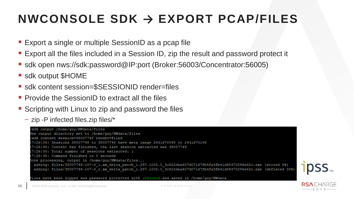#### **NWCONSOLE SDK → EXPORT PCAP/FILES**

- Export a single or multiple SessionID as a pcap file
- **Export all the files included in a Session ID, zip the result and password protect it**
- sdk open nws://sdk:password@IP:port (Broker:56003/Concentrator:56005)
- **Sidk output \$HOME**
- sdk content session=\$SESSIONID render=files
- **Provide the SessionID to extract all the files**
- Scripting with Linux to zip and password the files
	- − zip -P infected files.zip files/\*

![](_page_9_Picture_9.jpeg)

Files have been zipped and password protected with infected and saved in /home/quy/NWdata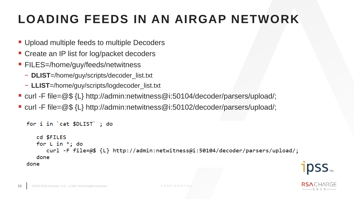## **LOADING FEEDS IN AN AIRGAP NETWORK**

- Upload multiple feeds to multiple Decoders
- Create an IP list for log/packet decoders
- **EILES=/home/guy/feeds/netwitness** 
	- − **DLIST**=/home/guy/scripts/decoder\_list.txt
	- − **LLIST**=/home/guy/scripts/logdecoder\_list.txt
- curl -F file=@\$ {L} http://admin:netwitness@i:50104/decoder/parsers/upload/;
- curl -F file=@\$ {L} http://admin:netwitness@i:50102/decoder/parsers/upload/;

```
for i in `cat $DLIST`; do
   cd SFILES
   for L in *; do
      curl -F file=@$ {L} http://admin:netwitness@i:50104/decoder/parsers/upload/;
   done
done
```
![](_page_10_Picture_11.jpeg)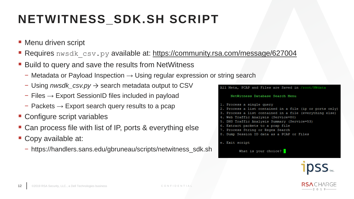## **NETWITNESS\_SDK.SH SCRIPT**

- **Menu driven script**
- **Requires** nwsdk csv.py available at: https://community.rsa.com/message/627004
- Build to query and save the results from NetWitness
	- − Metadata or Payload Inspection → Using regular expression or string search
	- − Using *nwsdk\_csv.py* → search metadata output to CSV
	- − Files → Export SessionID files included in payload
	- − Packets → Export search query results to a pcap
- Configure script variables
- Can process file with list of IP, ports & everything else
- Copy available at:
	- − https://handlers.sans.edu/gbruneau/scripts/netwitness\_sdk.sh

![](_page_11_Picture_12.jpeg)

![](_page_11_Picture_13.jpeg)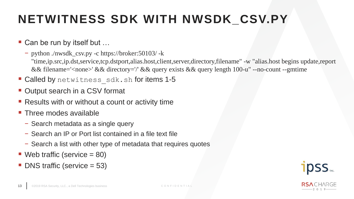#### **NETWITNESS SDK WITH NWSDK\_CSV.PY**

#### ■ Can be run by itself but ...

- − python ./nwsdk\_csv.py -c https://broker:50103/ -k "time,ip.src,ip.dst,service,tcp.dstport,alias.host,client,server,directory,filename" -w "alias.host begins update,report && filename='<none>' && directory='/' && query exists && query length 100-u" --no-count --gmtime
- **Called by** netwitness sdk.sh for items 1-5
- Output search in a CSV format
- Results with or without a count or activity time
- **Three modes available** 
	- − Search metadata as a single query
	- − Search an IP or Port list contained in a file text file
	- − Search a list with other type of metadata that requires quotes
- $\blacksquare$  Web traffic (service = 80)
- $\blacksquare$  DNS traffic (service = 53)

![](_page_12_Picture_12.jpeg)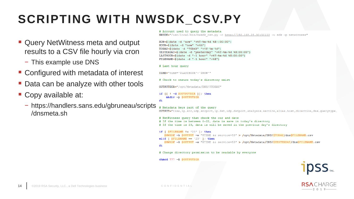## **SCRIPTING WITH NWSDK\_CSV.PY**

- Query NetWitness meta and output results to a CSV file hourly via cron
	- − This example use DNS
- Configured with metadata of interest
- Data can be analyze with other tools
- Copy available at:
	- − https://handlers.sans.edu/gbruneau/scripts /dnsmeta.sh

#### # Account used to query the metadata

NWSDK="/usr/local/bin/nwsdk csv.py -c http://192.168.25.30:50103 -u sdk -p netwitness"

NOW=S(date -d "now" "+%Y-%m-%d %H-:00:00")  $HOUR = S (date -d "now" "+8h")$ TODAY=\$(date -d "TODAY" "+%Y-%m-%d") YESTERDAY=S(date -d "yesterday" "+%Y-%m-%d %H:00:00") LASTHOUR=\$(date -d "-1 hour" "+%Y-%m-%d %H:00:00") FILENAME=S(date -d "-1 hour" "+%H")

#### # Last hour query

TIME="time='\$LASTHOUR'-'\$NOW'"

#### # Check to ensure today's directory exist

OUTPUTDIR="/opt/Metadata/DNS/\$TODAY"

if  $[$   $]$   $d$  \$00TPUTDIR  $]$  ; then mkdir -p \$OUTPUTDIR fi

#### # Metadata keys part of the query OUTPUT="time, ip.src, udp.srcport, ip.dst, udp.dstport, analysis.service, alias.host, direction, dns.querytype,

# NetWitness query that check the our and date # If the time is between 0-22, data is save in today's directory # If the time is 23, data is will be saved in the previous day's directory if [ $$FILENAME$  != '23' ]; then \$NWSDK -k \$OUTPUT -w "\$TIME && service=53" > /opt/Metadata/DNS/\$TODAY/dns\$FILENAME.csv elif [ $$FILENAME == '23'$ ]; then \$NWSDK -k \$OUTPUT -w "\$TIME && service=53" > /opt/Metadata/DNS/\$YESTERDAY/dns\$FILENAME.csv fi # Change directory permission to be readable by everyone

chmod 777 -R SOUTPUTDIR

![](_page_13_Picture_18.jpeg)

![](_page_13_Picture_19.jpeg)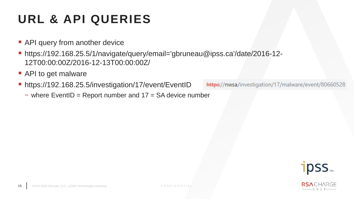#### **URL & API QUERIES**

- **API query from another device**
- https://192.168.25.5/1/navigate/query/email='gbruneau@ipss.ca'/date/2016-12-12T00:00:00Z/2016-12-13T00:00:00Z/
- API to get malware
- https://192.168.25.5/investigation/17/event/EventID
	- − where EventID = Report number and 17 = SA device number

![](_page_14_Picture_6.jpeg)

![](_page_14_Picture_7.jpeg)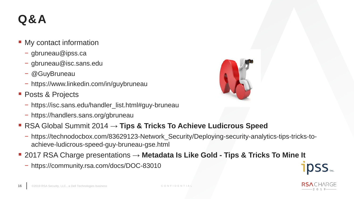#### **Q&A**

- My contact information
	- − gbruneau@ipss.ca
	- − gbruneau@isc.sans.edu
	- − @GuyBruneau
	- − https://www.linkedin.com/in/guybruneau
- Posts & Projects
	- − https://isc.sans.edu/handler\_list.html#guy-bruneau
	- − https://handlers.sans.org/gbruneau

![](_page_15_Picture_9.jpeg)

- RSA Global Summit 2014 → Tips & Tricks To Achieve Ludicrous Speed
	- − https://technodocbox.com/83629123-Network\_Security/Deploying-security-analytics-tips-tricks-toachieve-ludicrous-speed-guy-bruneau-gse.html
- 2017 RSA Charge presentations → Metadata Is Like Gold Tips & Tricks To Mine It
	- − https://community.rsa.com/docs/DOC-83010

![](_page_15_Picture_14.jpeg)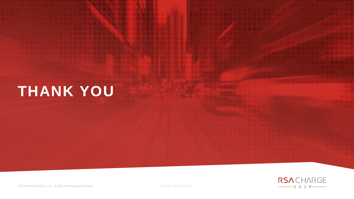# **THANK YOU**

![](_page_16_Picture_1.jpeg)